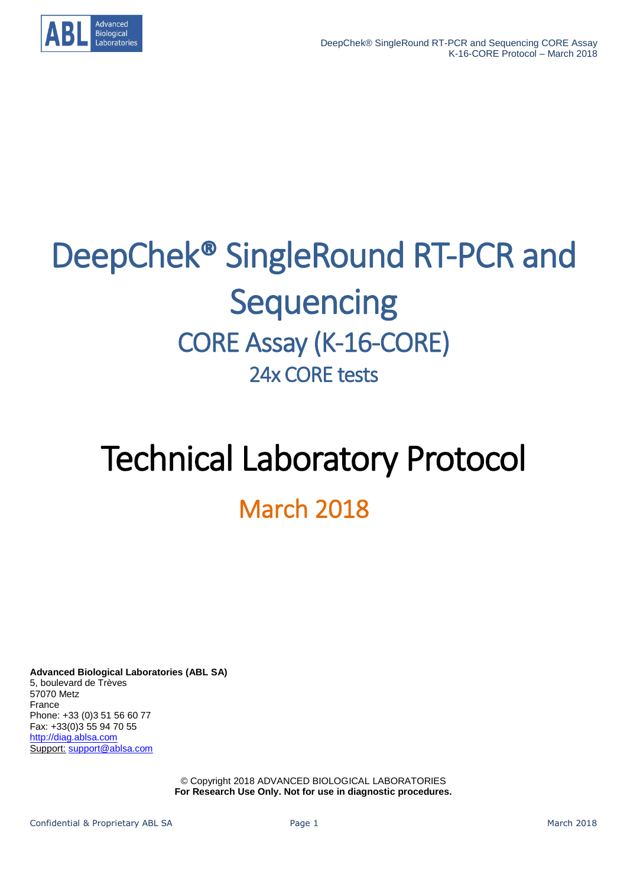

# DeepChek® SingleRound RT-PCR and **Sequencing** CORE Assay (K-16-CORE) 24x CORE tests

# Technical Laboratory Protocol

# March 2018

**Advanced Biological Laboratories (ABL SA)** 5, boulevard de Trèves 57070 Metz France Phone: +33 (0)3 51 56 60 77 Fax: +33(0)3 55 94 70 55 [http://diag.ablsa.com](http://diag.ablsa.com/) Support: [support@ablsa.com](mailto:support@ablsa.com)

> © Copyright 2018 ADVANCED BIOLOGICAL LABORATORIES **For Research Use Only. Not for use in diagnostic procedures.**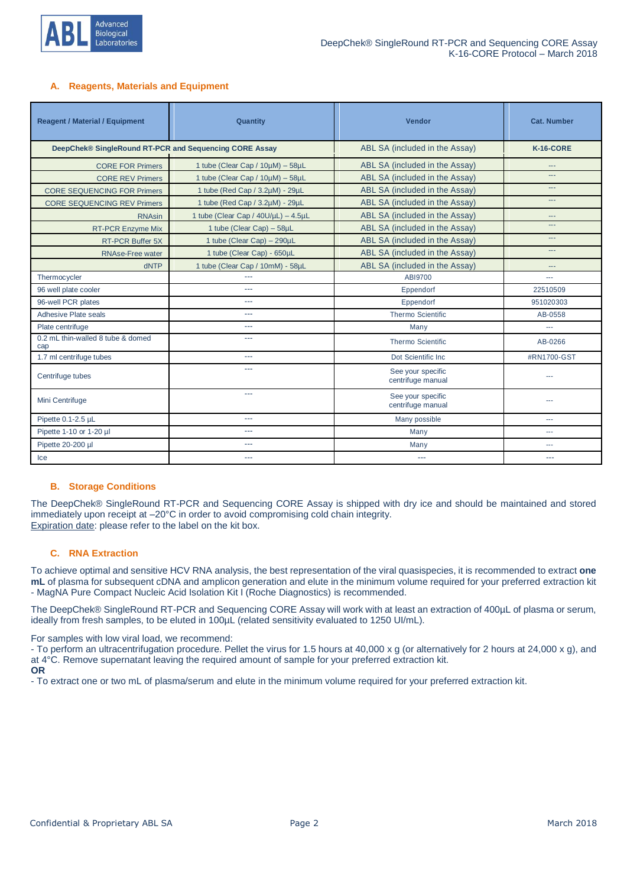

#### **A. Reagents, Materials and Equipment**

| <b>Reagent / Material / Equipment</b>                  | Quantity                            | Vendor                                 | <b>Cat. Number</b> |
|--------------------------------------------------------|-------------------------------------|----------------------------------------|--------------------|
| DeepChek® SingleRound RT-PCR and Sequencing CORE Assay |                                     | ABL SA (included in the Assay)         | K-16-CORE          |
| <b>CORE FOR Primers</b>                                | 1 tube (Clear Cap / 10µM) - 58µL    | ABL SA (included in the Assay)         | ---                |
| <b>CORE REV Primers</b>                                | 1 tube (Clear Cap / 10µM) - 58µL    | ABL SA (included in the Assay)         | ---                |
| <b>CORE SEQUENCING FOR Primers</b>                     | 1 tube (Red Cap / 3.2µM) - 29µL     | ABL SA (included in the Assay)         | ---                |
| <b>CORE SEQUENCING REV Primers</b>                     | 1 tube (Red Cap / 3.2µM) - 29µL     | ABL SA (included in the Assay)         | ---                |
| <b>RNAsin</b>                                          | 1 tube (Clear Cap / 40U/µL) - 4.5µL | ABL SA (included in the Assay)         | $---$              |
| <b>RT-PCR Enzyme Mix</b>                               | 1 tube (Clear Cap) - 58µL           | ABL SA (included in the Assay)         | ---                |
| <b>RT-PCR Buffer 5X</b>                                | 1 tube (Clear Cap) - 290µL          | ABL SA (included in the Assay)         | ---                |
| <b>RNAse-Free water</b>                                | 1 tube (Clear Cap) - 650µL          | ABL SA (included in the Assay)         | ---                |
| dNTP                                                   | 1 tube (Clear Cap / 10mM) - 58µL    | ABL SA (included in the Assay)         |                    |
| Thermocycler                                           | ш.,                                 | ABI9700                                |                    |
| 96 well plate cooler                                   | ---                                 | Eppendorf                              | 22510509           |
| 96-well PCR plates                                     | ---                                 | Eppendorf                              | 951020303          |
| Adhesive Plate seals                                   | ---                                 | <b>Thermo Scientific</b>               | AB-0558            |
| Plate centrifuge                                       | ---                                 | Many                                   | $- - -$            |
| 0.2 mL thin-walled 8 tube & domed<br>cap               | ---                                 | <b>Thermo Scientific</b>               | AB-0266            |
| 1.7 ml centrifuge tubes                                | $---$                               | Dot Scientific Inc.                    | #RN1700-GST        |
| Centrifuge tubes                                       | ---                                 | See your specific<br>centrifuge manual |                    |
| Mini Centrifuge                                        | ---                                 | See your specific<br>centrifuge manual | ---                |
| Pipette 0.1-2.5 µL                                     | $---$                               | Many possible<br>$\sim$                |                    |
| Pipette 1-10 or 1-20 µl                                | ---                                 | Many                                   | ---                |
| Pipette 20-200 µl                                      | ---                                 | Many                                   | $\sim$             |
| Ice                                                    | ---                                 | ---                                    | ---                |

#### **B. Storage Conditions**

The DeepChek® SingleRound RT-PCR and Sequencing CORE Assay is shipped with dry ice and should be maintained and stored immediately upon receipt at –20°C in order to avoid compromising cold chain integrity. Expiration date: please refer to the label on the kit box.

#### **C. RNA Extraction**

To achieve optimal and sensitive HCV RNA analysis, the best representation of the viral quasispecies, it is recommended to extract **one mL** of plasma for subsequent cDNA and amplicon generation and elute in the minimum volume required for your preferred extraction kit - MagNA Pure Compact Nucleic Acid Isolation Kit I (Roche Diagnostics) is recommended.

The DeepChek® SingleRound RT-PCR and Sequencing CORE Assay will work with at least an extraction of 400µL of plasma or serum, ideally from fresh samples, to be eluted in 100µL (related sensitivity evaluated to 1250 UI/mL).

For samples with low viral load, we recommend:

- To perform an ultracentrifugation procedure. Pellet the virus for 1.5 hours at 40,000 x g (or alternatively for 2 hours at 24,000 x g), and at 4°C. Remove supernatant leaving the required amount of sample for your preferred extraction kit. **OR**

- To extract one or two mL of plasma/serum and elute in the minimum volume required for your preferred extraction kit.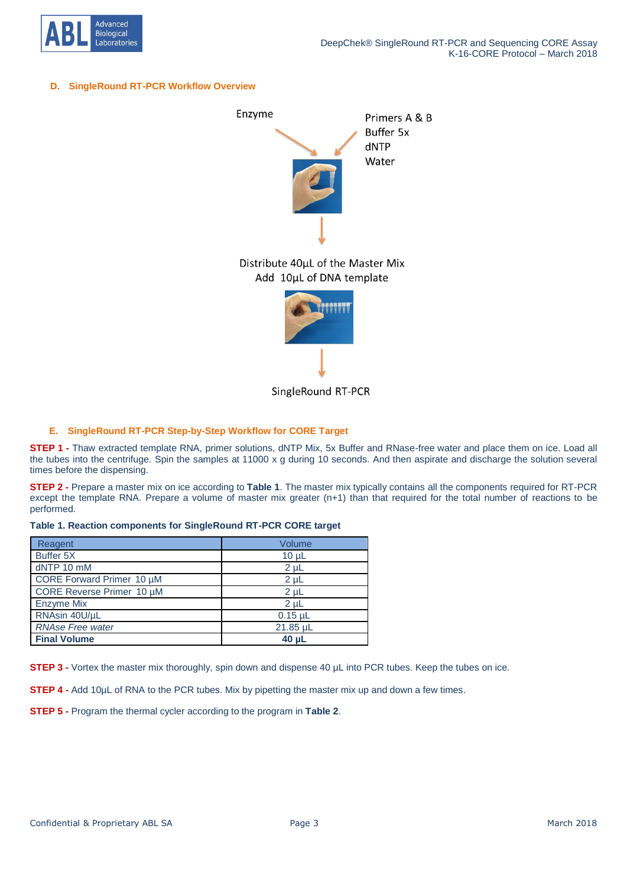

#### **D. SingleRound RT-PCR Workflow Overview**



SingleRound RT-PCR

#### **E. SingleRound RT-PCR Step-by-Step Workflow for CORE Target**

**STEP 1 -** Thaw extracted template RNA, primer solutions, dNTP Mix, 5x Buffer and RNase-free water and place them on ice. Load all the tubes into the centrifuge. Spin the samples at 11000 x g during 10 seconds. And then aspirate and discharge the solution several times before the dispensing.

**STEP 2 -** Prepare a master mix on ice according to **Table 1**. The master mix typically contains all the components required for RT-PCR except the template RNA. Prepare a volume of master mix greater (n+1) than that required for the total number of reactions to be performed.

#### **Table 1. Reaction components for SingleRound RT-PCR CORE target**

| Reagent                   | Volume         |
|---------------------------|----------------|
| Buffer 5X                 | $10 \mu L$     |
| dNTP 10 mM                | $2 \mu L$      |
| CORE Forward Primer 10 µM | $2 \mu L$      |
| CORE Reverse Primer 10 µM | $2 \mu L$      |
| <b>Enzyme Mix</b>         | 2 <sub>µ</sub> |
| RNAsin 40U/µL             | $0.15$ µL      |
| <b>RNAse Free water</b>   | 21.85 µL       |
| <b>Final Volume</b>       | 40 uL          |

**STEP 3 -** Vortex the master mix thoroughly, spin down and dispense 40 µL into PCR tubes. Keep the tubes on ice.

**STEP 4 -** Add 10µL of RNA to the PCR tubes. Mix by pipetting the master mix up and down a few times.

**STEP 5 -** Program the thermal cycler according to the program in **Table 2**.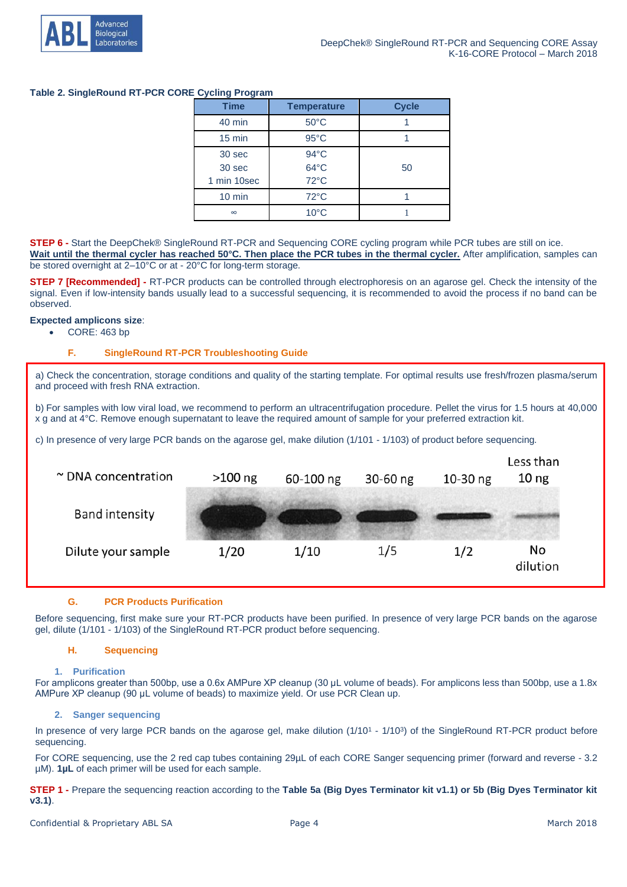

# **Table 2. SingleRound RT-PCR CORE Cycling Program**

| <b>Time</b>      | <b>Temperature</b> | <b>Cycle</b> |
|------------------|--------------------|--------------|
| 40 min           | $50^{\circ}$ C     |              |
| $15$ min         | $95^{\circ}$ C     |              |
| 30 sec           | $94^{\circ}$ C     |              |
| 30 sec           | $64^{\circ}$ C     | 50           |
| 1 min 10sec      | 72°C               |              |
| $10 \text{ min}$ | $72^{\circ}$ C     |              |
| $\infty$         | $10^{\circ}$ C     |              |

**STEP 6 -** Start the DeepChek® SingleRound RT-PCR and Sequencing CORE cycling program while PCR tubes are still on ice. **Wait until the thermal cycler has reached 50°C. Then place the PCR tubes in the thermal cycler.** After amplification, samples can be stored overnight at 2–10°C or at - 20°C for long-term storage.

**STEP 7 [Recommended]** - RT-PCR products can be controlled through electrophoresis on an agarose gel. Check the intensity of the signal. Even if low-intensity bands usually lead to a successful sequencing, it is recommended to avoid the process if no band can be observed.

## **Expected amplicons size**:

• CORE: 463 bp

# **F. SingleRound RT-PCR Troubleshooting Guide**

a) Check the concentration, storage conditions and quality of the starting template. For optimal results use fresh/frozen plasma/serum and proceed with fresh RNA extraction.

b) For samples with low viral load, we recommend to perform an ultracentrifugation procedure. Pellet the virus for 1.5 hours at 40,000 x g and at 4°C. Remove enough supernatant to leave the required amount of sample for your preferred extraction kit.

c) In presence of very large PCR bands on the agarose gel, make dilution (1/101 - 1/103) of product before sequencing.

| $\sim$ DNA concentration | $>100$ ng | 60-100 ng | $30 - 60$ ng | $10-30$ ng | Less than<br>10 <sub>ng</sub> |
|--------------------------|-----------|-----------|--------------|------------|-------------------------------|
| <b>Band intensity</b>    |           |           |              |            |                               |
| Dilute your sample       | 1/20      | 1/10      | 1/5          | 1/2        | No<br>dilution                |

#### **G. PCR Products Purification**

Before sequencing, first make sure your RT-PCR products have been purified. In presence of very large PCR bands on the agarose gel, dilute (1/101 - 1/103) of the SingleRound RT-PCR product before sequencing.

#### **H. Sequencing**

#### **1. Purification**

For amplicons greater than 500bp, use a 0.6x AMPure XP cleanup (30 μL volume of beads). For amplicons less than 500bp, use a 1.8x AMPure XP cleanup (90 μL volume of beads) to maximize yield. Or use PCR Clean up.

#### **2. Sanger sequencing**

In presence of very large PCR bands on the agarose gel, make dilution (1/10<sup>1</sup> - 1/10<sup>3</sup>) of the SingleRound RT-PCR product before sequencing.

For CORE sequencing, use the 2 red cap tubes containing 29µL of each CORE Sanger sequencing primer (forward and reverse - 3.2 µM). **1µL** of each primer will be used for each sample.

**STEP 1 -** Prepare the sequencing reaction according to the **Table 5a (Big Dyes Terminator kit v1.1) or 5b (Big Dyes Terminator kit v3.1)**.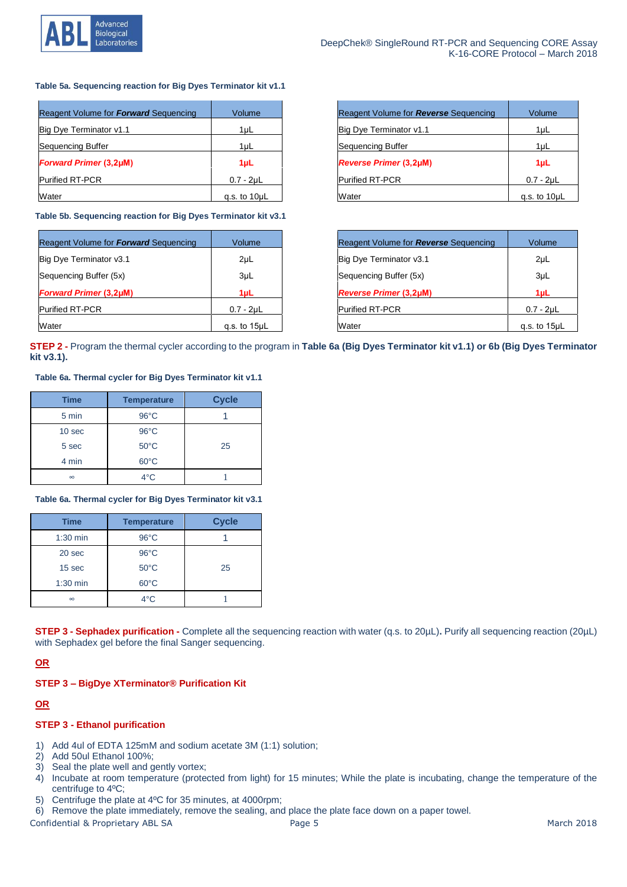

#### **Table 5a. Sequencing reaction for Big Dyes Terminator kit v1.1**

| Reagent Volume for Forward Sequencing | Volume            | Reagent Volume for <b>Reverse</b> Sequencing | Volume            |
|---------------------------------------|-------------------|----------------------------------------------|-------------------|
| Big Dye Terminator v1.1               | $1 \mu L$         | Big Dye Terminator v1.1                      | 1µL               |
| Sequencing Buffer                     | $1 \mu L$         | Sequencing Buffer                            | 1µL               |
| <b>Forward Primer (3,2µM)</b>         | 1µL               | <b>Reverse Primer (3,2µM)</b>                | 1µL               |
| <b>Purified RT-PCR</b>                | $0.7 - 2\mu L$    | <b>Purified RT-PCR</b>                       | $0.7 - 2\mu L$    |
| Water                                 | g.s. to $10\mu L$ | Water                                        | g.s. to $10\mu$ L |

**Table 5b. Sequencing reaction for Big Dyes Terminator kit v3.1**

| Reagent Volume for Forward Sequencing | Volume            | Reagent Volume for <b>Reverse</b> Sequencing | Volume          |
|---------------------------------------|-------------------|----------------------------------------------|-----------------|
| Big Dye Terminator v3.1               | $2\mu L$          | Big Dye Terminator v3.1                      | $2\mu L$        |
| Sequencing Buffer (5x)                | 3 <sub>µ</sub>    | Sequencing Buffer (5x)                       | 3 <sub>µ</sub>  |
| <b>Forward Primer (3,2µM)</b>         | $1 \mu L$         | <b>Reverse Primer (3,2µM)</b>                | 1µL             |
| <b>Purified RT-PCR</b>                | $0.7 - 2\mu L$    | <b>Purified RT-PCR</b>                       | $0.7 - 2\mu L$  |
| Water                                 | g.s. to $15\mu L$ | Water                                        | g.s. to $15\mu$ |

| Reagent Volume for Reverse Sequencing | Volume            |
|---------------------------------------|-------------------|
| Big Dye Terminator v1.1               | $1\mu$            |
| Sequencing Buffer                     | $1\mu$            |
| <b>Reverse Primer (3,2µM)</b>         | 1 <sub>µ</sub>    |
| <b>Purified RT-PCR</b>                | $0.7 - 2\mu L$    |
| Water                                 | g.s. to $10\mu L$ |

| Reagent Volume for <b>Reverse</b> Sequencing | Volume            |
|----------------------------------------------|-------------------|
| Big Dye Terminator v3.1                      | 2µL               |
| Sequencing Buffer (5x)                       | 3 <sub>µ</sub>    |
| <b>Reverse Primer (3,2µM)</b>                | 1 <sub>µ</sub>    |
| <b>Purified RT-PCR</b>                       | $0.7 - 2\mu L$    |
| Water                                        | g.s. to $15\mu L$ |

**STEP 2 -** Program the thermal cycler according to the program in **Table 6a (Big Dyes Terminator kit v1.1) or 6b (Big Dyes Terminator kit v3.1).**

#### **Table 6a. Thermal cycler for Big Dyes Terminator kit v1.1**

| <b>Time</b> | <b>Temperature</b> | <b>Cycle</b> |
|-------------|--------------------|--------------|
| 5 min       | $96^{\circ}$ C     |              |
| 10 sec      | $96^{\circ}$ C     |              |
| 5 sec       | $50^{\circ}$ C     | 25           |
| 4 min       | $60^{\circ}$ C     |              |
| $\infty$    | $4^{\circ}$ C      |              |

**Table 6a. Thermal cycler for Big Dyes Terminator kit v3.1**

| <b>Time</b> | <b>Temperature</b> | <b>Cycle</b> |
|-------------|--------------------|--------------|
| $1:30$ min  | $96^{\circ}$ C     |              |
| 20 sec      | $96^{\circ}$ C     |              |
| 15 sec      | $50^{\circ}$ C     | 25           |
| $1:30$ min  | $60^{\circ}$ C     |              |
| $\infty$    | $4^{\circ}$ C      |              |

**STEP 3 - Sephadex purification -** Complete all the sequencing reaction with water (q.s. to 20µL)**.** Purify all sequencing reaction (20µL) with Sephadex gel before the final Sanger sequencing.

## **OR**

## **STEP 3 – BigDye XTerminator® Purification Kit**

# **OR**

# **STEP 3 - Ethanol purification**

- 1) Add 4ul of EDTA 125mM and sodium acetate 3M (1:1) solution;
- 2) Add 50ul Ethanol 100%;
- 3) Seal the plate well and gently vortex;
- 4) Incubate at room temperature (protected from light) for 15 minutes; While the plate is incubating, change the temperature of the centrifuge to 4ºC;
- 5) Centrifuge the plate at 4ºC for 35 minutes, at 4000rpm;
- 6) Remove the plate immediately, remove the sealing, and place the plate face down on a paper towel.

Confidential & Proprietary ABL SA **Page 5** Page 5 March 2018